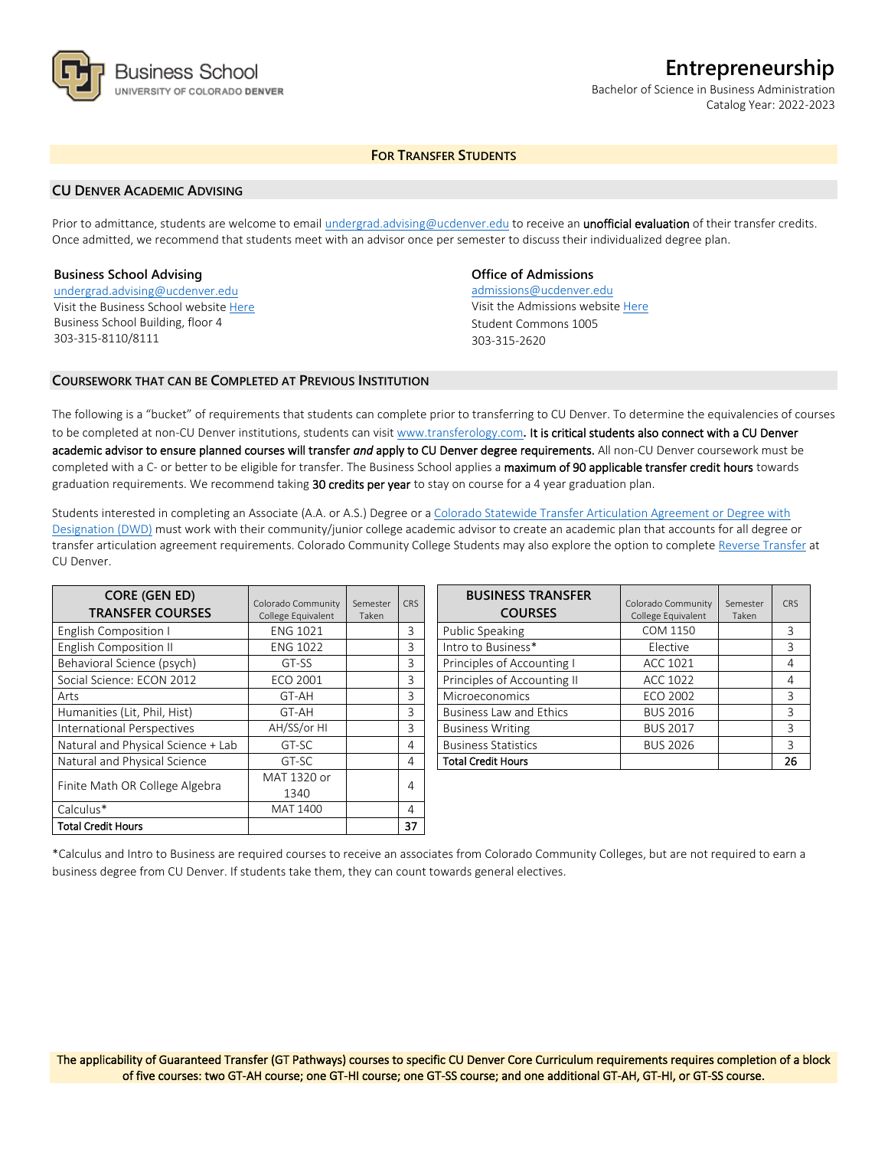

# **Entrepreneurship**

Bachelor of Science in Business Administration Catalog Year: 2022-2023

# **FOR TRANSFER STUDENTS**

## **CU DENVER ACADEMIC ADVISING**

Prior to admittance, students are welcome to email [undergrad.advising@ucdenver.edu](mailto:undergrad.advising@ucdenver.edu) to receive an *unofficial evaluation* of their transfer credits. Once admitted, we recommend that students meet with an advisor once per semester to discuss their individualized degree plan.

## **Business School Advising**

[undergrad.advising@ucdenver.edu](mailto:undergrad.advising@ucdenver.edu) Visit the Business School websit[e Here](http://www.ucdenver.edu/academics/colleges/business/Pages/business-school.aspx)  Business School Building, floor 4 303-315-8110/8111

# **Office of Admissions**

admissions@ucdenver.edu Visit the Admissions website [Here](http://www.ucdenver.edu/admissions/) Student Commons 1005 303-315-2620

## **COURSEWORK THAT CAN BE COMPLETED AT PREVIOUS INSTITUTION**

The following is a "bucket" of requirements that students can complete prior to transferring to CU Denver. To determine the equivalencies of courses to be completed at non-CU Denver institutions, students can visit [www.transferology.com](http://www.transferology.com/)**.** It is critical students also connect with a CU Denver academic advisor to ensure planned courses will transfer *and* apply to CU Denver degree requirements. All non-CU Denver coursework must be completed with a C- or better to be eligible for transfer. The Business School applies a maximum of 90 applicable transfer credit hours towards graduation requirements. We recommend taking 30 credits per year to stay on course for a 4 year graduation plan.

Students interested in completing an Associate (A.A. or A.S.) Degree or a Colorado Statewide Transfer Articulation Agreement or Degree with [Designation \(DWD\)](https://highered.colorado.gov/Academics/Transfers/TransferDegrees.html) must work with their community/junior college academic advisor to create an academic plan that accounts for all degree or transfer articulation agreement requirements. Colorado Community College Students may also explore the option to complet[e Reverse Transfer](https://degreewithinreach.wordpress.com/) at CU Denver.

| <b>CORE (GEN ED)</b><br><b>TRANSFER COURSES</b> | Colorado Community<br>College Equivalent | Semester<br>Taken | <b>CRS</b> |
|-------------------------------------------------|------------------------------------------|-------------------|------------|
| <b>English Composition I</b>                    | <b>ENG 1021</b>                          |                   | 3          |
| <b>English Composition II</b>                   | <b>ENG 1022</b>                          |                   | 3          |
| Behavioral Science (psych)                      | GT-SS                                    |                   | 3          |
| Social Science: ECON 2012                       | <b>ECO 2001</b>                          |                   | 3          |
| Arts                                            | GT-AH                                    |                   | 3          |
| Humanities (Lit, Phil, Hist)                    | GT-AH                                    |                   | 3          |
| International Perspectives                      | AH/SS/or HI                              |                   | 3          |
| Natural and Physical Science + Lab              | GT-SC                                    |                   | 4          |
| Natural and Physical Science                    | GT-SC                                    |                   | 4          |
| Finite Math OR College Algebra                  | MAT 1320 or                              |                   |            |
|                                                 | 1340                                     |                   | 4          |
| Calculus*                                       | MAT 1400                                 |                   | 4          |
| Total Credit Hours                              |                                          |                   | 37         |

| <b>BUSINESS TRANSFER</b><br><b>COURSES</b> | Colorado Community<br>College Equivalent | Semester<br>Taken | CRS |
|--------------------------------------------|------------------------------------------|-------------------|-----|
| <b>Public Speaking</b>                     | COM 1150                                 |                   | 3   |
| Intro to Business*                         | Elective                                 |                   | 3   |
| Principles of Accounting I                 | ACC 1021                                 |                   | 4   |
| Principles of Accounting II                | ACC 1022                                 |                   | 4   |
| Microeconomics                             | ECO 2002                                 |                   | 3   |
| <b>Business Law and Ethics</b>             | <b>BUS 2016</b>                          |                   | 3   |
| <b>Business Writing</b>                    | <b>BUS 2017</b>                          |                   | ζ   |
| <b>Business Statistics</b>                 | <b>BUS 2026</b>                          |                   | 3   |
| <b>Total Credit Hours</b>                  |                                          |                   | 26  |

\*Calculus and Intro to Business are required courses to receive an associates from Colorado Community Colleges, but are not required to earn a business degree from CU Denver. If students take them, they can count towards general electives.